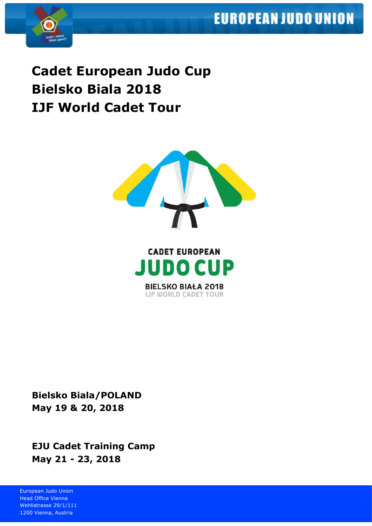# **EUROPEAN JUDO UNION**



**Cadet European Judo Cup Bielsko Biala 2018 IJF World Cadet Tour**



**BIELSKO BIAŁA 2018 IJF WORLD CADET TOUR** 

**Bielsko Biala/POLAND May 19 & 20, 2018**

**EJU Cadet Training Camp May 21 - 23, 2018**

European Judo Union Head Office Vienna Wehlistrasse 29/1/111 1200 Vienna, Austria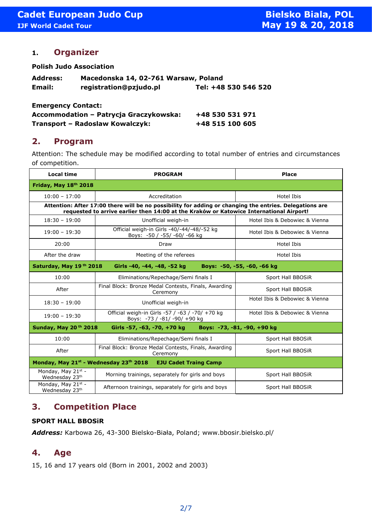### **1. Organizer**

**Polish Judo Association**

| <b>Address:</b> | Macedonska 14, 02-761 Warsaw, Poland |                      |
|-----------------|--------------------------------------|----------------------|
| Email:          | registration@pzjudo.pl               | Tel: +48 530 546 520 |

**Emergency Contact:**

| Accommodation - Patrycja Graczykowska: | +48 530 531 971 |
|----------------------------------------|-----------------|
| Transport - Radoslaw Kowalczyk:        | +48 515 100 605 |

### **2. Program**

Attention: The schedule may be modified according to total number of entries and circumstances of competition.

| <b>Local time</b>                                                                                                                                                                                  | <b>PROGRAM</b>                                                                  | <b>Place</b>                   |  |  |
|----------------------------------------------------------------------------------------------------------------------------------------------------------------------------------------------------|---------------------------------------------------------------------------------|--------------------------------|--|--|
| Friday, May 18th 2018                                                                                                                                                                              |                                                                                 |                                |  |  |
| $10:00 - 17:00$                                                                                                                                                                                    | Accreditation                                                                   | Hotel Ibis                     |  |  |
| Attention: After 17:00 there will be no possibility for adding or changing the entries. Delegations are<br>requested to arrive earlier then 14:00 at the Kraków or Katowice International Airport! |                                                                                 |                                |  |  |
| $18:30 - 19:00$                                                                                                                                                                                    | Unofficial weigh-in                                                             | Hotel Ibis & Debowiec & Vienna |  |  |
| $19:00 - 19:30$                                                                                                                                                                                    | Official weigh-in Girls -40/-44/-48/-52 kg<br>Boys: -50 / -55/ -60/ -66 kg      | Hotel Ibis & Debowiec & Vienna |  |  |
| 20:00                                                                                                                                                                                              | Draw                                                                            | Hotel Ibis                     |  |  |
| After the draw                                                                                                                                                                                     | Meeting of the referees                                                         | Hotel Ibis                     |  |  |
| Saturday, May 19th 2018<br>Girls -40, -44, -48, -52 kg<br>Boys: -50, -55, -60, -66 kg                                                                                                              |                                                                                 |                                |  |  |
| 10:00                                                                                                                                                                                              | Eliminations/Repechage/Semi finals I                                            | Sport Hall BBOSiR              |  |  |
| After                                                                                                                                                                                              | Final Block: Bronze Medal Contests, Finals, Awarding<br>Ceremony                | Sport Hall BBOSiR              |  |  |
| $18:30 - 19:00$                                                                                                                                                                                    | Unofficial weigh-in                                                             | Hotel Ibis & Debowiec & Vienna |  |  |
| $19:00 - 19:30$                                                                                                                                                                                    | Official weigh-in Girls -57 / -63 / -70/ +70 kg<br>Boys: -73 / -81/ -90/ +90 kg | Hotel Ibis & Debowiec & Vienna |  |  |
| Sunday, May 20 <sup>th</sup> 2018<br>Girls -57, -63, -70, +70 kg Boys: -73, -81, -90, +90 kg                                                                                                       |                                                                                 |                                |  |  |
| 10:00                                                                                                                                                                                              | Eliminations/Repechage/Semi finals I                                            | Sport Hall BBOSiR              |  |  |
| After                                                                                                                                                                                              | Final Block: Bronze Medal Contests, Finals, Awarding<br>Ceremony                | Sport Hall BBOSiR              |  |  |
| Monday, May 21 <sup>st</sup> - Wednesday 23 <sup>th</sup> 2018 EJU Cadet Traing Camp                                                                                                               |                                                                                 |                                |  |  |
| Monday, May 21st -<br>Wednesday 23th                                                                                                                                                               | Morning trainings, separately for girls and boys                                | Sport Hall BBOSiR              |  |  |
| Monday, May 21st -<br>Wednesday 23th                                                                                                                                                               | Afternoon trainings, separately for girls and boys                              | Sport Hall BBOSiR              |  |  |

### **3. Competition Place**

#### **SPORT HALL BBOSiR**

*Address:* Karbowa 26, 43-300 Bielsko-Biała, Poland; www.bbosir.bielsko.pl/

### **4. Age**

15, 16 and 17 years old (Born in 2001, 2002 and 2003)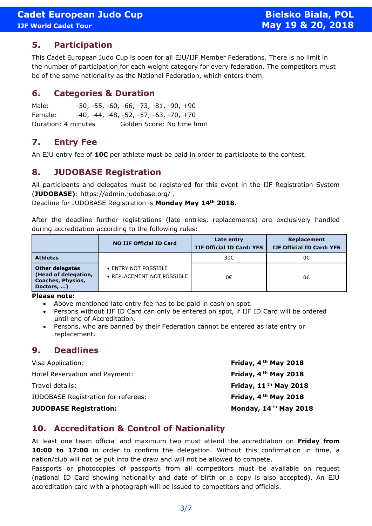# **5. Participation**

This Cadet European Judo Cup is open for all EJU/IJF Member Federations. There is no limit in the number of participation for each weight category for every federation. The competitors must be of the same nationality as the National Federation, which enters them.

### **6. Categories & Duration**

Male: -50, -55, -60, -66, -73, -81, -90, +90 Female: -40, -44, -48, -52, -57, -63, -70, +70 Duration: 4 minutes Golden Score: No time limit

# **7. Entry Fee**

An EJU entry fee of **10€** per athlete must be paid in order to participate to the contest.

# **8. JUDOBASE Registration**

All participants and delegates must be registered for this event in the IJF Registration System (**JUDOBASE)**:<https://admin.judobase.org/> .

Deadline for JUDOBASE Registration is **Monday May 14th 2018.**

After the deadline further registrations (late entries, replacements) are exclusively handled during accreditation according to the following rules:

|                                                                                          | <b>NO IJF Official ID Card</b>                     | Late entry<br><b>IJF Official ID Card: YES</b> | Replacement<br><b>IJF Official ID Card: YES</b> |
|------------------------------------------------------------------------------------------|----------------------------------------------------|------------------------------------------------|-------------------------------------------------|
| <b>Athletes</b>                                                                          |                                                    | 30€                                            | 0€                                              |
| <b>Other delegates</b><br>(Head of delegation,<br><b>Coaches, Physios,</b><br>Doctors, ) | • ENTRY NOT POSSIBLE<br>• REPLACEMENT NOT POSSIBLE | 0€                                             | 0€                                              |

**Please note:**

- Above mentioned late entry fee has to be paid in cash on spot.
- Persons without IJF ID Card can only be entered on spot, if IJF ID Card will be ordered until end of Accreditation.
- Persons, who are banned by their Federation cannot be entered as late entry or replacement.

### **9. Deadlines**

| <b>JUDOBASE Registration:</b>              | Monday, $14$ <sup>th</sup> May 2018 |
|--------------------------------------------|-------------------------------------|
| <b>JUDOBASE Registration for referees:</b> | Friday, $4th$ May 2018              |
| Travel details:                            | Friday, $11th$ May 2018             |
| Hotel Reservation and Payment:             | Friday, 4 <sup>th</sup> May 2018    |
| Visa Application:                          | Friday, 4 <sup>th</sup> May 2018    |

### **10. Accreditation & Control of Nationality**

At least one team official and maximum two must attend the accreditation on **Friday from 10:00 to 17:00** in order to confirm the delegation. Without this confirmation in time, a nation/club will not be put into the draw and will not be allowed to compete.

Passports or photocopies of passports from all competitors must be available on request (national ID Card showing nationality and date of birth or a copy is also accepted). An EJU accreditation card with a photograph will be issued to competitors and officials.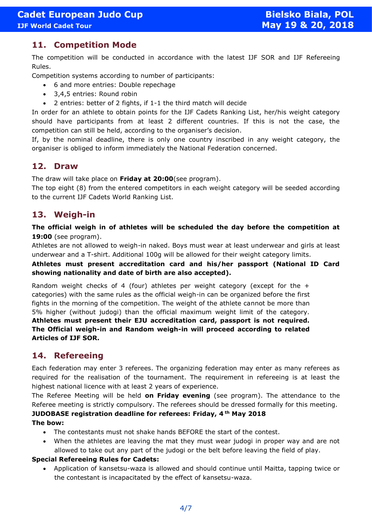### **11. Competition Mode**

The competition will be conducted in accordance with the latest IJF SOR and IJF Refereeing Rules.

Competition systems according to number of participants:

- 6 and more entries: Double repechage
- 3,4,5 entries: Round robin
- 2 entries: better of 2 fights, if 1-1 the third match will decide

In order for an athlete to obtain points for the IJF Cadets Ranking List, her/his weight category should have participants from at least 2 different countries. If this is not the case, the competition can still be held, according to the organiser's decision.

If, by the nominal deadline, there is only one country inscribed in any weight category, the organiser is obliged to inform immediately the National Federation concerned.

### **12. Draw**

The draw will take place on **Friday at 20:00**(see program).

The top eight (8) from the entered competitors in each weight category will be seeded according to the current IJF Cadets World Ranking List.

# **13. Weigh-in**

**The official weigh in of athletes will be scheduled the day before the competition at 19:00** (see program).

Athletes are not allowed to weigh-in naked. Boys must wear at least underwear and girls at least underwear and a T-shirt. Additional 100g will be allowed for their weight category limits.

**Athletes must present accreditation card and his/her passport (National ID Card showing nationality and date of birth are also accepted).**

Random weight checks of 4 (four) athletes per weight category (except for the  $+$ categories) with the same rules as the official weigh-in can be organized before the first fights in the morning of the competition. The weight of the athlete cannot be more than 5% higher (without judogi) than the official maximum weight limit of the category. **Athletes must present their EJU accreditation card, passport is not required. The Official weigh-in and Random weigh-in will proceed according to related Articles of IJF SOR.** 

# **14. Refereeing**

Each federation may enter 3 referees. The organizing federation may enter as many referees as required for the realisation of the tournament. The requirement in refereeing is at least the highest national licence with at least 2 years of experience.

The Referee Meeting will be held **on Friday evening** (see program). The attendance to the Referee meeting is strictly compulsory. The referees should be dressed formally for this meeting. **JUDOBASE registration deadline for referees: Friday, 4 th May 2018**

#### **The bow:**

- The contestants must not shake hands BEFORE the start of the contest.
- When the athletes are leaving the mat they must wear judogi in proper way and are not allowed to take out any part of the judogi or the belt before leaving the field of play.

#### **Special Refereeing Rules for Cadets:**

• Application of kansetsu-waza is allowed and should continue until Maitta, tapping twice or the contestant is incapacitated by the effect of kansetsu-waza.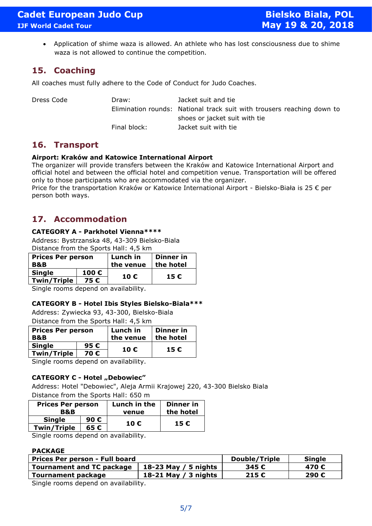• Application of shime waza is allowed. An athlete who has lost consciousness due to shime waza is not allowed to continue the competition.

# **15. Coaching**

All coaches must fully adhere to the Code of Conduct for Judo Coaches.

Dress Code Draw: Jacket suit and tie Elimination rounds: National track suit with trousers reaching down to shoes or jacket suit with tie Final block: Jacket suit with tie

# **16. Transport**

#### **Airport: Kraków and Katowice International Airport**

The organizer will provide transfers between the Kraków and Katowice International Airport and official hotel and between the official hotel and competition venue. Transportation will be offered only to those participants who are accommodated via the organizer.

Price for the transportation Kraków or Katowice International Airport - Bielsko-Biała is 25 € per person both ways.

# **17. Accommodation**

#### **CATEGORY A - Parkhotel Vienna\*\*\*\***

Address: Bystrzanska 48, 43-309 Bielsko-Biala Distance from the Sports Hall: 4,5 km

| <b>Prices Per person</b><br><b>B&amp;B</b> |      | Lunch in<br>the venue | Dinner in<br>the hotel |  |
|--------------------------------------------|------|-----------------------|------------------------|--|
| <b>Single</b>                              | 100€ |                       |                        |  |
| <b>Twin/Triple</b>                         | 75 € | 10 €<br>15€           |                        |  |
|                                            |      | .                     |                        |  |

Single rooms depend on availability.

#### **CATEGORY B - Hotel Ibis Styles Bielsko-Biala\*\*\***

Address: Zywiecka 93, 43-300, Bielsko-Biala Distance from the Sports Hall: 4,5 km

| <b>Prices Per person</b><br>B&B |               | Lunch in<br>the venue | Dinner in<br>the hotel |
|---------------------------------|---------------|-----------------------|------------------------|
| <b>Single</b>                   | 95 $\epsilon$ |                       |                        |
| <b>Twin/Triple</b>              | 70€           | 10€<br>15 €           |                        |
|                                 |               | .                     |                        |

Single rooms depend on availability.

#### **CATEGORY C - Hotel "Debowiec"**

Address: Hotel "Debowiec", Aleja Armii Krajowej 220, 43-300 Bielsko Biala Distance from the Sports Hall: 650 m

| <b>Prices Per person</b> |      | Lunch in the | Dinner in |
|--------------------------|------|--------------|-----------|
| B&B                      |      | venue        | the hotel |
| <b>Single</b>            | 90 € | 10 €         | 15€       |
| <b>Twin/Triple</b>       | 65 € |              |           |

Single rooms depend on availability.

#### **PACKAGE**

| Prices Per person - Full board                    |                      | Double/Triple | <b>Single</b> |  |
|---------------------------------------------------|----------------------|---------------|---------------|--|
| <b>Tournament and TC package</b>                  | 18-23 May / 5 nights | 345 €         | 470 €         |  |
| <b>Tournament package</b><br>18-21 May / 3 nights |                      | 215€          | 290€          |  |
| Single rooms denend on availability               |                      |               |               |  |

e rooms depend on availability.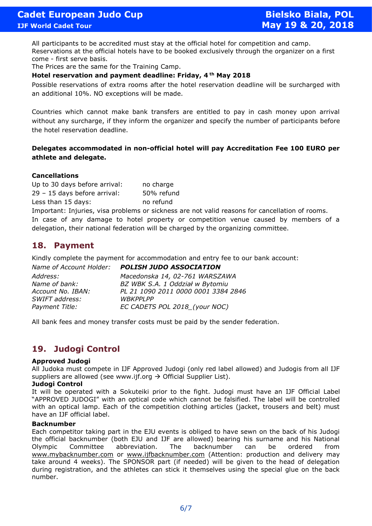All participants to be accredited must stay at the official hotel for competition and camp. Reservations at the official hotels have to be booked exclusively through the organizer on a first come - first serve basis.

The Prices are the same for the Training Camp.

#### **Hotel reservation and payment deadline: Friday, 4 th May 2018**

Possible reservations of extra rooms after the hotel reservation deadline will be surcharged with an additional 10%. NO exceptions will be made.

Countries which cannot make bank transfers are entitled to pay in cash money upon arrival without any surcharge, if they inform the organizer and specify the number of participants before the hotel reservation deadline.

#### **Delegates accommodated in non-official hotel will pay Accreditation Fee 100 EURO per athlete and delegate.**

#### **Cancellations**

Up to 30 days before arrival: no charge 29 – 15 days before arrival: 50% refund Less than 15 days: no refund

Important: Injuries, visa problems or sickness are not valid reasons for cancellation of rooms. In case of any damage to hotel property or competition venue caused by members of a delegation, their national federation will be charged by the organizing committee.

### **18. Payment**

Kindly complete the payment for accommodation and entry fee to our bank account:

| Name of Account Holder: | <b>POLISH JUDO ASSOCIATION</b>      |
|-------------------------|-------------------------------------|
| Address:                | Macedonska 14, 02-761 WARSZAWA      |
| Name of bank:           | BZ WBK S.A. 1 Oddział w Bytomiu     |
| Account No. IBAN:       | PL 21 1090 2011 0000 0001 3384 2846 |
| SWIFT address:          | <b>WBKPPLPP</b>                     |
| Payment Title:          | EC CADETS POL 2018_(your NOC)       |
|                         |                                     |

All bank fees and money transfer costs must be paid by the sender federation.

# **19. Judogi Control**

#### **Approved Judogi**

All Judoka must compete in IJF Approved Judogi (only red label allowed) and Judogis from all IJF suppliers are allowed (see www.ijf.org  $\rightarrow$  Official Supplier List).

#### **Judogi Control**

It will be operated with a Sokuteiki prior to the fight. Judogi must have an IJF Official Label "APPROVED JUDOGI" with an optical code which cannot be falsified. The label will be controlled with an optical lamp. Each of the competition clothing articles (jacket, trousers and belt) must have an IJF official label.

#### **Backnumber**

Each competitor taking part in the EJU events is obliged to have sewn on the back of his Judogi the official backnumber (both EJU and IJF are allowed) bearing his surname and his National Olympic Committee abbreviation. The backnumber can be ordered from [www.mybacknumber.com](http://www.mybacknumber.com/) or [www.ijfbacknumber.com](http://www.ijfbacknumber.com/) (Attention: production and delivery may take around 4 weeks). The SPONSOR part (if needed) will be given to the head of delegation during registration, and the athletes can stick it themselves using the special glue on the back number.